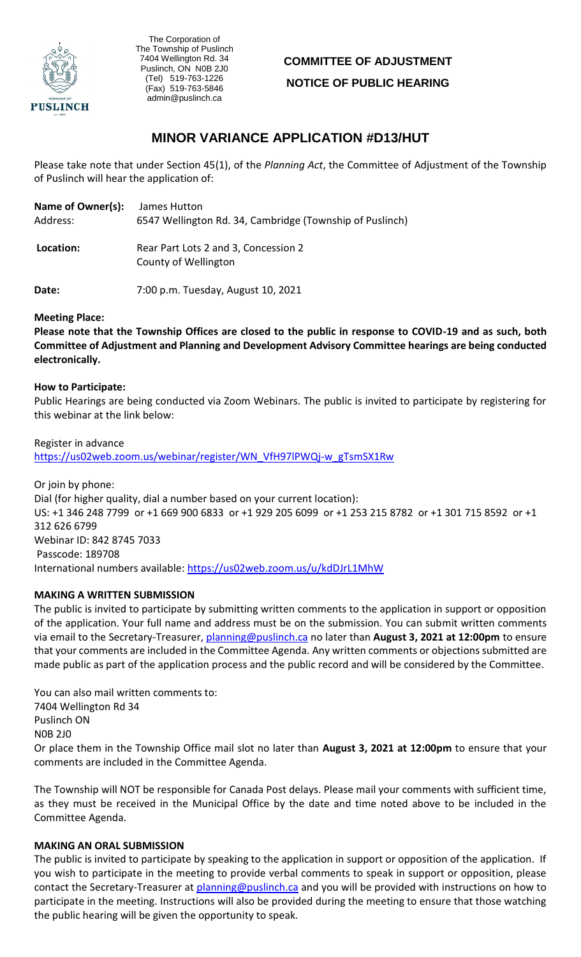

, The Corporation of The Township of Puslinch 7404 Wellington Rd. 34 Puslinch, ON N0B 2J0 (Tel) 519-763-1226 (Fax) 519-763-5846 admin@puslinch.ca

# **COMMITTEE OF ADJUSTMENT NOTICE OF PUBLIC HEARING**

## **MINOR VARIANCE APPLICATION #D13/HUT**

Please take note that under Section 45(1), of the *Planning Act*, the Committee of Adjustment of the Township of Puslinch will hear the application of:

| Name of Owner(s): | James Hutton                                                 |  |
|-------------------|--------------------------------------------------------------|--|
| Address:          | 6547 Wellington Rd. 34, Cambridge (Township of Puslinch)     |  |
| Location:         | Rear Part Lots 2 and 3, Concession 2<br>County of Wellington |  |

**Date:** 7:00 p.m. Tuesday, August 10, 2021

### **Meeting Place:**

**Please note that the Township Offices are closed to the public in response to COVID-19 and as such, both Committee of Adjustment and Planning and Development Advisory Committee hearings are being conducted electronically.** 

## **How to Participate:**

Public Hearings are being conducted via Zoom Webinars. The public is invited to participate by registering for this webinar at the link below:

Register in advance [https://us02web.zoom.us/webinar/register/WN\\_VfH97lPWQj-w\\_gTsmSX1Rw](https://us02web.zoom.us/webinar/register/WN_VfH97lPWQj-w_gTsmSX1Rw)

Or join by phone: Dial (for higher quality, dial a number based on your current location): US: +1 346 248 7799 or +1 669 900 6833 or +1 929 205 6099 or +1 253 215 8782 or +1 301 715 8592 or +1 312 626 6799 Webinar ID: 842 8745 7033 Passcode: 189708 International numbers available:<https://us02web.zoom.us/u/kdDJrL1MhW>

## **MAKING A WRITTEN SUBMISSION**

The public is invited to participate by submitting written comments to the application in support or opposition of the application. Your full name and address must be on the submission. You can submit written comments via email to the Secretary-Treasurer, planning@puslinch.ca no later than **August 3, 2021 at 12:00pm** to ensure that your comments are included in the Committee Agenda. Any written comments or objections submitted are made public as part of the application process and the public record and will be considered by the Committee.

You can also mail written comments to: 7404 Wellington Rd 34 Puslinch ON N0B 2J0 Or place them in the Township Office mail slot no later than **August 3, 2021 at 12:00pm** to ensure that your comments are included in the Committee Agenda.

The Township will NOT be responsible for Canada Post delays. Please mail your comments with sufficient time, as they must be received in the Municipal Office by the date and time noted above to be included in the Committee Agenda.

### **MAKING AN ORAL SUBMISSION**

The public is invited to participate by speaking to the application in support or opposition of the application. If you wish to participate in the meeting to provide verbal comments to speak in support or opposition, please contact the Secretary-Treasurer at planning@puslinch.ca and you will be provided with instructions on how to participate in the meeting. Instructions will also be provided during the meeting to ensure that those watching the public hearing will be given the opportunity to speak.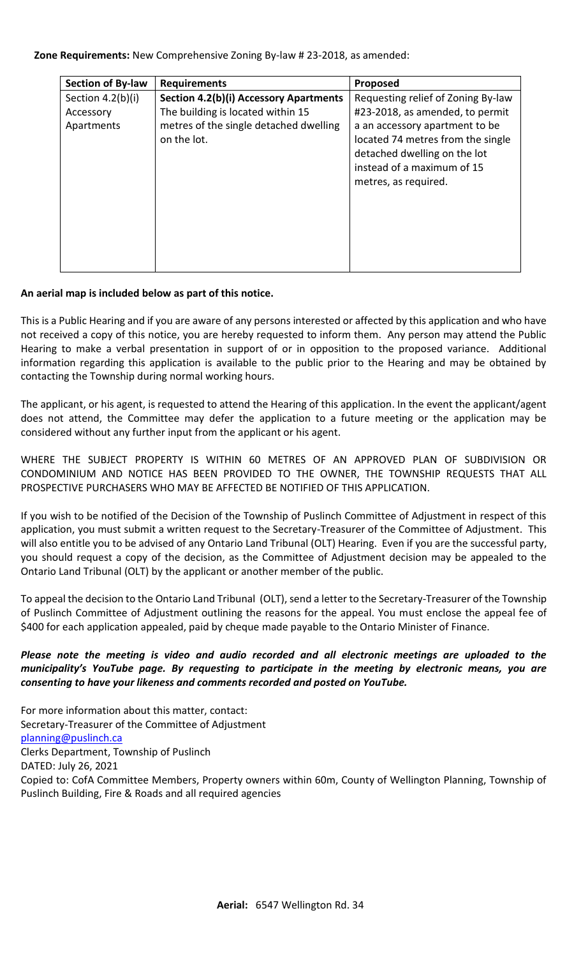## **Zone Requirements:** New Comprehensive Zoning By-law # 23-2018, as amended:

| <b>Section of By-law</b> | <b>Requirements</b>                    | Proposed                           |
|--------------------------|----------------------------------------|------------------------------------|
| Section 4.2(b)(i)        | Section 4.2(b)(i) Accessory Apartments | Requesting relief of Zoning By-law |
| Accessory                | The building is located within 15      | #23-2018, as amended, to permit    |
| Apartments               | metres of the single detached dwelling | a an accessory apartment to be     |
|                          | on the lot.                            | located 74 metres from the single  |
|                          |                                        | detached dwelling on the lot       |
|                          |                                        | instead of a maximum of 15         |
|                          |                                        | metres, as required.               |
|                          |                                        |                                    |
|                          |                                        |                                    |
|                          |                                        |                                    |
|                          |                                        |                                    |
|                          |                                        |                                    |

## **An aerial map is included below as part of this notice.**

This is a Public Hearing and if you are aware of any persons interested or affected by this application and who have not received a copy of this notice, you are hereby requested to inform them. Any person may attend the Public Hearing to make a verbal presentation in support of or in opposition to the proposed variance. Additional information regarding this application is available to the public prior to the Hearing and may be obtained by contacting the Township during normal working hours.

The applicant, or his agent, is requested to attend the Hearing of this application. In the event the applicant/agent does not attend, the Committee may defer the application to a future meeting or the application may be considered without any further input from the applicant or his agent.

WHERE THE SUBJECT PROPERTY IS WITHIN 60 METRES OF AN APPROVED PLAN OF SUBDIVISION OR CONDOMINIUM AND NOTICE HAS BEEN PROVIDED TO THE OWNER, THE TOWNSHIP REQUESTS THAT ALL PROSPECTIVE PURCHASERS WHO MAY BE AFFECTED BE NOTIFIED OF THIS APPLICATION.

If you wish to be notified of the Decision of the Township of Puslinch Committee of Adjustment in respect of this application, you must submit a written request to the Secretary-Treasurer of the Committee of Adjustment. This will also entitle you to be advised of any Ontario Land Tribunal (OLT) Hearing. Even if you are the successful party, you should request a copy of the decision, as the Committee of Adjustment decision may be appealed to the Ontario Land Tribunal (OLT) by the applicant or another member of the public.

To appeal the decision to the Ontario Land Tribunal (OLT), send a letter to the Secretary-Treasurer of the Township of Puslinch Committee of Adjustment outlining the reasons for the appeal. You must enclose the appeal fee of \$400 for each application appealed, paid by cheque made payable to the Ontario Minister of Finance.

*Please note the meeting is video and audio recorded and all electronic meetings are uploaded to the municipality's YouTube page. By requesting to participate in the meeting by electronic means, you are consenting to have your likeness and comments recorded and posted on YouTube.*

For more information about this matter, contact: Secretary-Treasurer of the Committee of Adjustment [planning@puslinch.ca](mailto:planning@puslinch.ca) Clerks Department, Township of Puslinch DATED: July 26, 2021 Copied to: CofA Committee Members, Property owners within 60m, County of Wellington Planning, Township of Puslinch Building, Fire & Roads and all required agencies